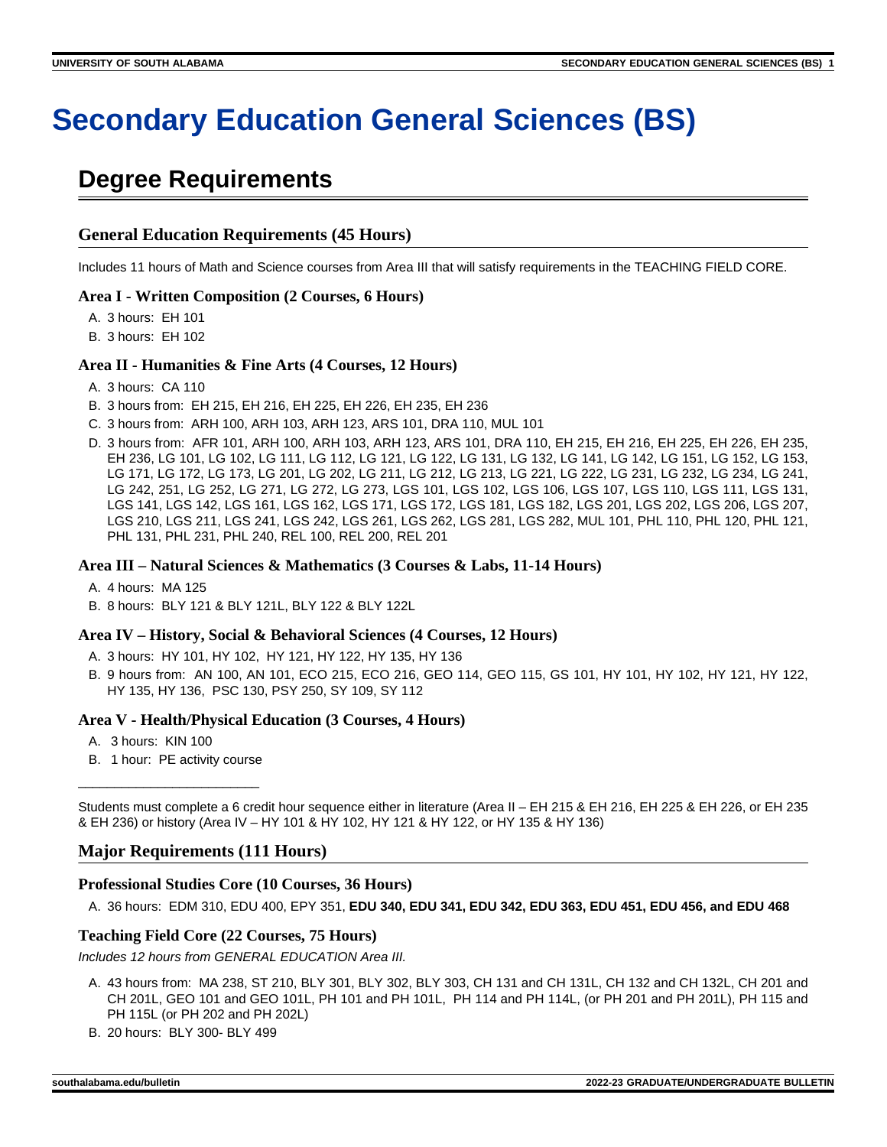# **Secondary Education General Sciences (BS)**

## **Degree Requirements**

#### **General Education Requirements (45 Hours)**

Includes 11 hours of Math and Science courses from Area III that will satisfy requirements in the TEACHING FIELD CORE.

#### **Area I - Written Composition (2 Courses, 6 Hours)**

- A. 3 hours: EH 101
- B. 3 hours: EH 102

#### **Area II - Humanities & Fine Arts (4 Courses, 12 Hours)**

- A. 3 hours: CA 110
- B. 3 hours from: EH 215, EH 216, EH 225, EH 226, EH 235, EH 236
- C. 3 hours from: ARH 100, ARH 103, ARH 123, ARS 101, DRA 110, MUL 101
- D. 3 hours from: AFR 101, ARH 100, ARH 103, ARH 123, ARS 101, DRA 110, EH 215, EH 216, EH 225, EH 226, EH 235, EH 236, LG 101, LG 102, LG 111, LG 112, LG 121, LG 122, LG 131, LG 132, LG 141, LG 142, LG 151, LG 152, LG 153, LG 171, LG 172, LG 173, LG 201, LG 202, LG 211, LG 212, LG 213, LG 221, LG 222, LG 231, LG 232, LG 234, LG 241, LG 242, 251, LG 252, LG 271, LG 272, LG 273, LGS 101, LGS 102, LGS 106, LGS 107, LGS 110, LGS 111, LGS 131, LGS 141, LGS 142, LGS 161, LGS 162, LGS 171, LGS 172, LGS 181, LGS 182, LGS 201, LGS 202, LGS 206, LGS 207, LGS 210, LGS 211, LGS 241, LGS 242, LGS 261, LGS 262, LGS 281, LGS 282, MUL 101, PHL 110, PHL 120, PHL 121, PHL 131, PHL 231, PHL 240, REL 100, REL 200, REL 201

#### **Area III – Natural Sciences & Mathematics (3 Courses & Labs, 11-14 Hours)**

- A. 4 hours: MA 125
- B. 8 hours: BLY 121 & BLY 121L, BLY 122 & BLY 122L

#### **Area IV – History, Social & Behavioral Sciences (4 Courses, 12 Hours)**

- A. 3 hours: HY 101, HY 102, HY 121, HY 122, HY 135, HY 136
- B. 9 hours from: AN 100, AN 101, ECO 215, ECO 216, GEO 114, GEO 115, GS 101, HY 101, HY 102, HY 121, HY 122, HY 135, HY 136, PSC 130, PSY 250, SY 109, SY 112

#### **Area V - Health/Physical Education (3 Courses, 4 Hours)**

- A. 3 hours: KIN 100
- B. 1 hour: PE activity course \_\_\_\_\_\_\_\_\_\_\_\_\_\_\_\_\_\_\_\_\_\_\_\_\_

Students must complete a 6 credit hour sequence either in literature (Area II – EH 215 & EH 216, EH 225 & EH 226, or EH 235 & EH 236) or history (Area IV – HY 101 & HY 102, HY 121 & HY 122, or HY 135 & HY 136)

#### **Major Requirements (111 Hours)**

#### **Professional Studies Core (10 Courses, 36 Hours)**

A. 36 hours: EDM 310, EDU 400, EPY 351, **EDU 340, EDU 341, EDU 342, EDU 363, EDU 451, EDU 456, and EDU 468**

#### **Teaching Field Core (22 Courses, 75 Hours)**

Includes 12 hours from GENERAL EDUCATION Area III.

- A. 43 hours from: MA 238, ST 210, BLY 301, BLY 302, BLY 303, CH 131 and CH 131L, CH 132 and CH 132L, CH 201 and CH 201L, GEO 101 and GEO 101L, PH 101 and PH 101L, PH 114 and PH 114L, (or PH 201 and PH 201L), PH 115 and PH 115L (or PH 202 and PH 202L)
- B. 20 hours: BLY 300- BLY 499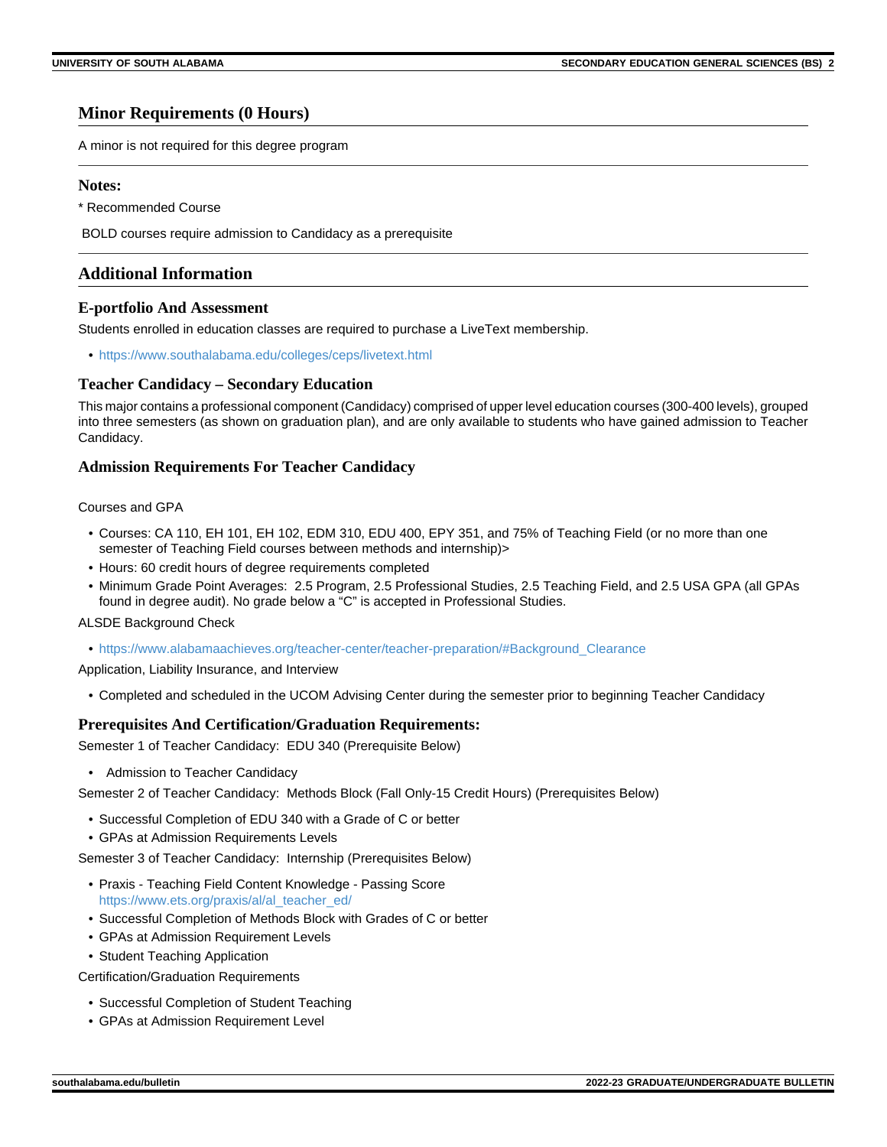#### **Minor Requirements (0 Hours)**

A minor is not required for this degree program

#### **Notes:**

\* Recommended Course

BOLD courses require admission to Candidacy as a prerequisite

#### **Additional Information**

#### **E-portfolio And Assessment**

Students enrolled in education classes are required to purchase a LiveText membership.

• <https://www.southalabama.edu/colleges/ceps/livetext.html>

#### **Teacher Candidacy – Secondary Education**

This major contains a professional component (Candidacy) comprised of upper level education courses (300-400 levels), grouped into three semesters (as shown on graduation plan), and are only available to students who have gained admission to Teacher Candidacy.

#### **Admission Requirements For Teacher Candidacy**

#### Courses and GPA

- Courses: CA 110, EH 101, EH 102, EDM 310, EDU 400, EPY 351, and 75% of Teaching Field (or no more than one semester of Teaching Field courses between methods and internship)>
- Hours: 60 credit hours of degree requirements completed
- Minimum Grade Point Averages: 2.5 Program, 2.5 Professional Studies, 2.5 Teaching Field, and 2.5 USA GPA (all GPAs found in degree audit). No grade below a "C" is accepted in Professional Studies.

#### ALSDE Background Check

• [https://www.alabamaachieves.org/teacher-center/teacher-preparation/#Background\\_Clearance](https://www.alabamaachieves.org/teacher-center/teacher-preparation/#Background_Clearance)

Application, Liability Insurance, and Interview

• Completed and scheduled in the UCOM Advising Center during the semester prior to beginning Teacher Candidacy

#### **Prerequisites And Certification/Graduation Requirements:**

Semester 1 of Teacher Candidacy: EDU 340 (Prerequisite Below)

• Admission to Teacher Candidacy

Semester 2 of Teacher Candidacy: Methods Block (Fall Only-15 Credit Hours) (Prerequisites Below)

- Successful Completion of EDU 340 with a Grade of C or better
- GPAs at Admission Requirements Levels

Semester 3 of Teacher Candidacy: Internship (Prerequisites Below)

- Praxis Teaching Field Content Knowledge Passing Score [https://www.ets.org/praxis/al/al\\_teacher\\_ed/](https://www.ets.org/praxis/al/al_teacher_ed/)
- Successful Completion of Methods Block with Grades of C or better
- GPAs at Admission Requirement Levels
- Student Teaching Application

Certification/Graduation Requirements

- Successful Completion of Student Teaching
- GPAs at Admission Requirement Level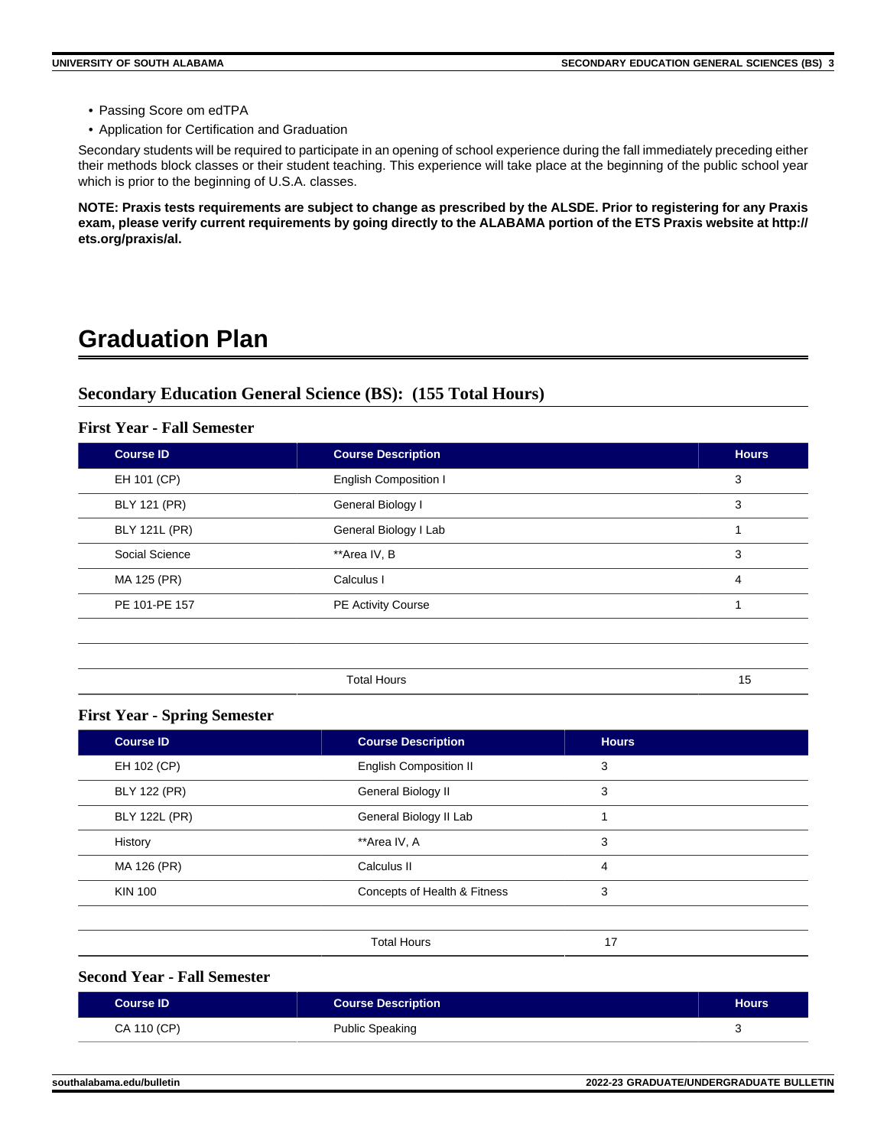- Passing Score om edTPA
- Application for Certification and Graduation

Secondary students will be required to participate in an opening of school experience during the fall immediately preceding either their methods block classes or their student teaching. This experience will take place at the beginning of the public school year which is prior to the beginning of U.S.A. classes.

**NOTE: Praxis tests requirements are subject to change as prescribed by the ALSDE. Prior to registering for any Praxis exam, please verify current requirements by going directly to the ALABAMA portion of the ETS Praxis website at http:// ets.org/praxis/al.**

### **Graduation Plan**

#### **Secondary Education General Science (BS): (155 Total Hours)**

#### **First Year - Fall Semester**

| <b>Course Description</b>    | <b>Hours</b> |
|------------------------------|--------------|
| <b>English Composition I</b> | 3            |
| General Biology I            | 3            |
| General Biology I Lab        | 1            |
| **Area IV, B                 | 3            |
| Calculus I                   | 4            |
| <b>PE Activity Course</b>    | 1            |
|                              |              |
|                              |              |
| <b>Total Hours</b>           | 15           |
|                              |              |

#### **First Year - Spring Semester**

| <b>Course ID</b>     | <b>Course Description</b>     | <b>Hours</b> |  |
|----------------------|-------------------------------|--------------|--|
| EH 102 (CP)          | <b>English Composition II</b> | 3            |  |
| <b>BLY 122 (PR)</b>  | General Biology II            | 3            |  |
| <b>BLY 122L (PR)</b> | General Biology II Lab        |              |  |
| History              | **Area IV, A                  | 3            |  |
| MA 126 (PR)          | Calculus II                   | 4            |  |
| <b>KIN 100</b>       | Concepts of Health & Fitness  | 3            |  |
|                      |                               |              |  |
|                      | <b>Total Hours</b>            | 17           |  |
|                      |                               |              |  |

#### **Second Year - Fall Semester**

| <b>Course ID</b> | <b>Course Description</b> | <b>Hours</b> |
|------------------|---------------------------|--------------|
| CA 110 (CP)      | <b>Public Speaking</b>    |              |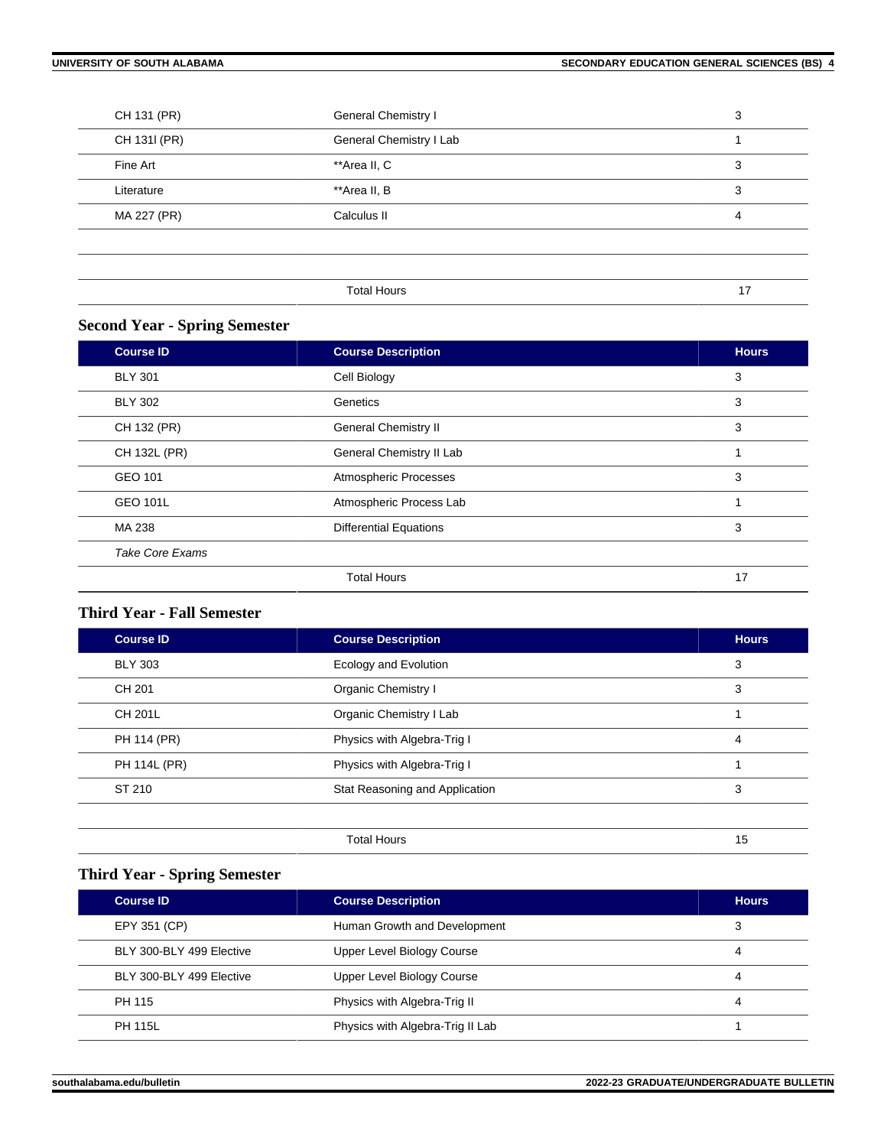| CH 131 (PR)  | General Chemistry I     | 3  |
|--------------|-------------------------|----|
| CH 1311 (PR) | General Chemistry I Lab |    |
| Fine Art     | **Area II, C            | 3  |
| Literature   | **Area II, B            | 3  |
| MA 227 (PR)  | Calculus II             | 4  |
|              |                         |    |
|              |                         |    |
|              | <b>Total Hours</b>      | 17 |
|              |                         |    |

#### **Second Year - Spring Semester**

| <b>Course ID</b>       | <b>Course Description</b>     | <b>Hours</b> |
|------------------------|-------------------------------|--------------|
| <b>BLY 301</b>         | Cell Biology                  | 3            |
| <b>BLY 302</b>         | Genetics                      | 3            |
| CH 132 (PR)            | <b>General Chemistry II</b>   | 3            |
| CH 132L (PR)           | General Chemistry II Lab      |              |
| GEO 101                | <b>Atmospheric Processes</b>  | 3            |
| <b>GEO 101L</b>        | Atmospheric Process Lab       |              |
| MA 238                 | <b>Differential Equations</b> | 3            |
| <b>Take Core Exams</b> |                               |              |
|                        | <b>Total Hours</b>            | 17           |

#### **Third Year - Fall Semester**

| <b>Course ID</b> | <b>Course Description</b>      | <b>Hours</b> |
|------------------|--------------------------------|--------------|
| <b>BLY 303</b>   | Ecology and Evolution          | 3            |
| CH 201           | Organic Chemistry I            | 3            |
| CH 201L          | Organic Chemistry I Lab        | 4            |
| PH 114 (PR)      | Physics with Algebra-Trig I    | 4            |
| PH 114L (PR)     | Physics with Algebra-Trig I    | 4            |
| ST 210           | Stat Reasoning and Application | 3            |
|                  |                                |              |
|                  | <b>Total Hours</b>             | 15           |

### **Third Year - Spring Semester**

| <b>Course ID</b>         | <b>Course Description</b>        | <b>Hours</b> |
|--------------------------|----------------------------------|--------------|
| EPY 351 (CP)             | Human Growth and Development     |              |
| BLY 300-BLY 499 Elective | Upper Level Biology Course       | 4            |
| BLY 300-BLY 499 Elective | Upper Level Biology Course       |              |
| PH 115                   | Physics with Algebra-Trig II     |              |
| PH 115L                  | Physics with Algebra-Trig II Lab |              |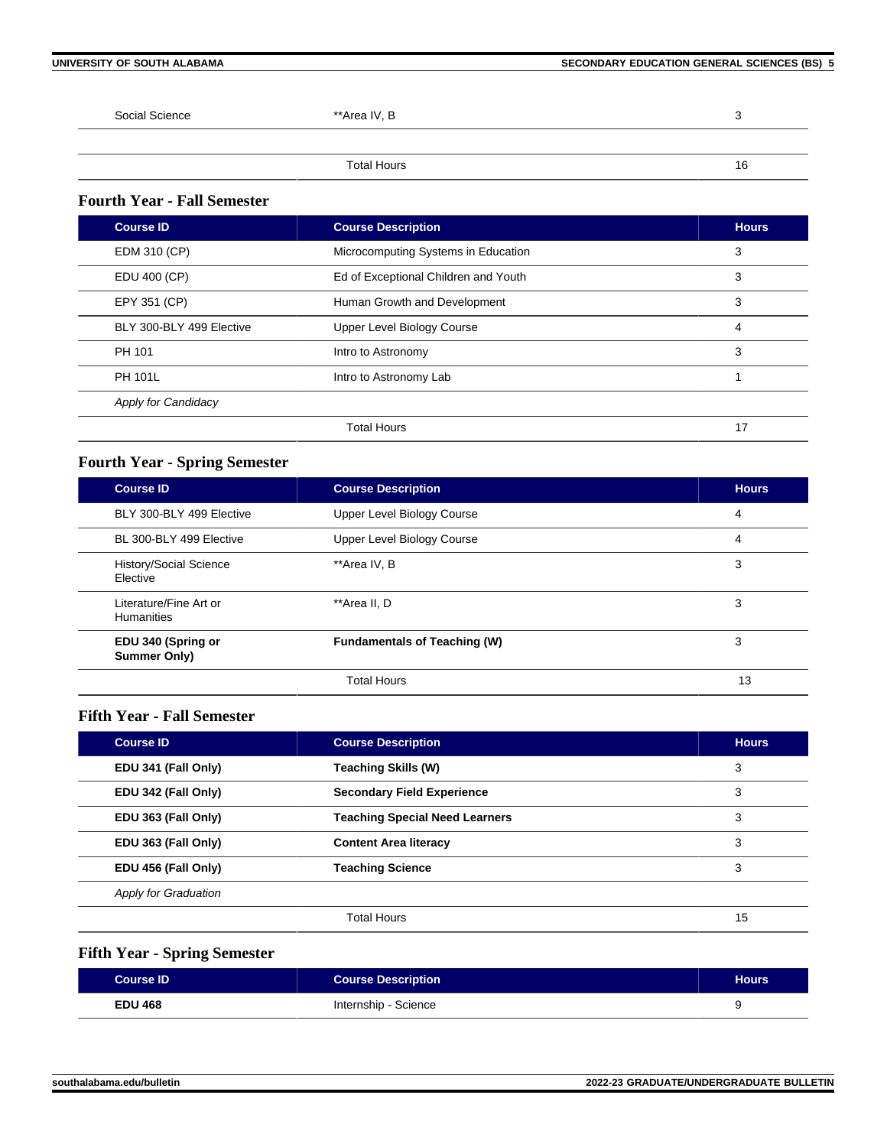Social Science \*\*Area IV, B 3

#### Total Hours 16

**Fourth Year - Fall Semester**

| <b>Course ID</b>           | <b>Course Description</b>            | <b>Hours</b> |
|----------------------------|--------------------------------------|--------------|
| EDM 310 (CP)               | Microcomputing Systems in Education  | 3            |
| EDU 400 (CP)               | Ed of Exceptional Children and Youth | 3            |
| EPY 351 (CP)               | Human Growth and Development         | 3            |
| BLY 300-BLY 499 Elective   | Upper Level Biology Course           | 4            |
| PH 101                     | Intro to Astronomy                   | 3            |
| <b>PH 101L</b>             | Intro to Astronomy Lab               |              |
| <b>Apply for Candidacy</b> |                                      |              |
|                            | <b>Total Hours</b>                   | 17           |

#### **Fourth Year - Spring Semester**

| <b>Course ID</b>                          | <b>Course Description</b>           | <b>Hours</b> |
|-------------------------------------------|-------------------------------------|--------------|
| BLY 300-BLY 499 Elective                  | Upper Level Biology Course          | 4            |
| BL 300-BLY 499 Elective                   | Upper Level Biology Course          | 4            |
| <b>History/Social Science</b><br>Elective | **Area IV, B                        | 3            |
| Literature/Fine Art or<br>Humanities      | **Area II, D                        | 3            |
| EDU 340 (Spring or<br>Summer Only)        | <b>Fundamentals of Teaching (W)</b> | 3            |
|                                           | <b>Total Hours</b>                  | 13           |

#### **Fifth Year - Fall Semester**

| <b>Course ID</b>                               | <b>Course Description</b>             | <b>Hours</b> |
|------------------------------------------------|---------------------------------------|--------------|
| EDU 341 (Fall Only)                            | Teaching Skills (W)                   | 3            |
| EDU 342 (Fall Only)                            | <b>Secondary Field Experience</b>     | 3            |
| EDU 363 (Fall Only)                            | <b>Teaching Special Need Learners</b> | 3            |
| EDU 363 (Fall Only)                            | <b>Content Area literacy</b>          | 3            |
| <b>Teaching Science</b><br>EDU 456 (Fall Only) |                                       | 3            |
| <b>Apply for Graduation</b>                    |                                       |              |
|                                                | <b>Total Hours</b>                    | 15           |

#### **Fifth Year - Spring Semester**

| <b>Course ID</b> | <b>Course Description</b> | <b>Hours</b> |
|------------------|---------------------------|--------------|
| <b>EDU 468</b>   | Internship - Science      |              |